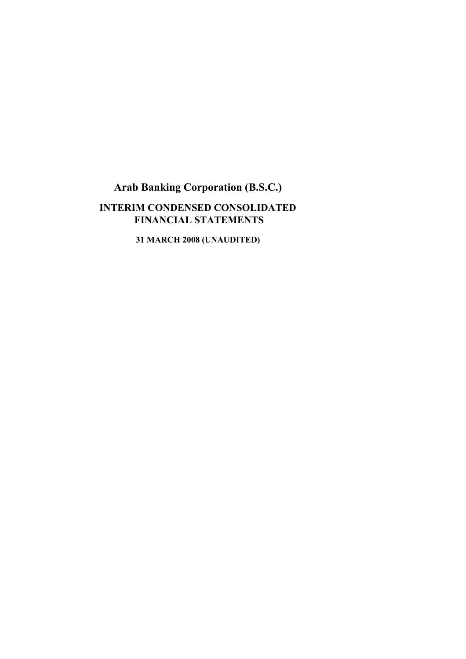# **Arab Banking Corporation (B.S.C.) INTERIM CONDENSED CONSOLIDATED FINANCIAL STATEMENTS**

**31 MARCH 2008 (UNAUDITED)**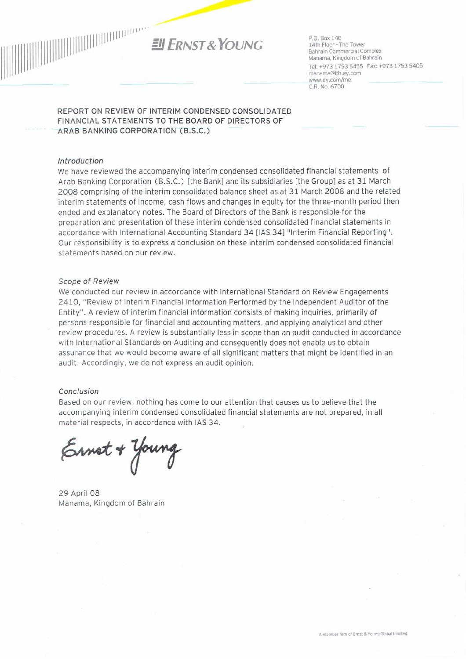

P.O. Box 140 14th Floor - The Tower Bahrain Commercial Complex Manama, Kingdom of Bahrain Tel: +973 1753 5455 Fax: +973 1753 5405 manama@bh.ey.com www.ey.com/me C.R. No. 6700

#### REPORT ON REVIEW OF INTERIM CONDENSED CONSOLIDATED FINANCIAL STATEMENTS TO THE BOARD OF DIRECTORS OF ARAB BANKING CORPORATION (B.S.C.)

#### Introduction

We have reviewed the accompanying interim condensed consolidated financial statements of Arab Banking Corporation (B.S.C.) [the Bank] and its subsidiaries [the Group] as at 31 March 2008 comprising of the interim consolidated balance sheet as at 31 March 2008 and the related interim statements of income, cash flows and changes in equity for the three-month period then ended and explanatory notes. The Board of Directors of the Bank is responsible for the preparation and presentation of these interim condensed consolidated financial statements in accordance with International Accounting Standard 34 [IAS 34] "Interim Financial Reporting". Our responsibility is to express a conclusion on these interim condensed consolidated financial statements based on our review.

#### **Scope of Review**

We conducted our review in accordance with International Standard on Review Engagements 2410, "Review of Interim Financial Information Performed by the Independent Auditor of the Entity". A review of interim financial information consists of making inquiries, primarily of persons responsible for financial and accounting matters, and applying analytical and other review procedures. A review is substantially less in scope than an audit conducted in accordance with International Standards on Auditing and consequently does not enable us to obtain assurance that we would become aware of all significant matters that might be identified in an audit. Accordingly, we do not express an audit opinion.

#### Conclusion

Based on our review, nothing has come to our attention that causes us to believe that the accompanying interim condensed consolidated financial statements are not prepared, in all material respects, in accordance with IAS 34.

Ernet + Young

29 April 08 Manama, Kingdom of Bahrain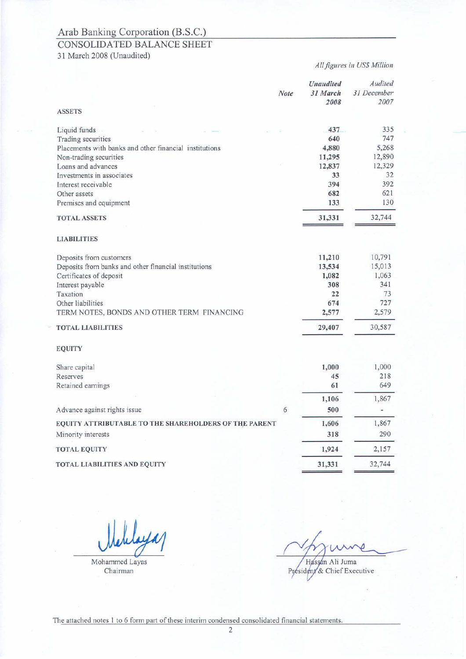### CONSOLIDATED BALANCE SHEET

31 March 2008 (Unaudited)

#### All figures in US\$ Million

| Liquid funds<br>Trading securities                     | 437<br>640<br>4,880<br>11,295 | 335<br>747<br>5,268 |
|--------------------------------------------------------|-------------------------------|---------------------|
|                                                        |                               |                     |
|                                                        |                               |                     |
| Placements with banks and other financial institutions |                               |                     |
| Non-trading securities                                 |                               | 12,890              |
| Loans and advances                                     | 12,837                        | 12,329              |
| Investments in associates                              | 33                            | 32                  |
| Interest receivable                                    | 394                           | 392                 |
| Other assets                                           | 682                           | 621                 |
| Premises and equipment                                 | 133                           | 130                 |
| <b>TOTAL ASSETS</b>                                    | 31,331                        | 32,744              |
| <b>LIABILITIES</b>                                     |                               |                     |
| Deposits from customers                                | 11,210                        | 10,791              |
| Deposits from banks and other financial institutions   | 13,534                        | 15,013              |
| Certificates of deposit                                | 1,082                         | 1,063               |
| Interest payable                                       | 308                           | 341                 |
| Taxation                                               | 22                            | 73                  |
| Other liabilities                                      | 674                           | 727                 |
| TERM NOTES, BONDS AND OTHER TERM FINANCING             | 2,577                         | 2,579               |
| <b>TOTAL LIABILITIES</b>                               | 29,407                        | 30,587              |
| <b>EQUITY</b>                                          |                               |                     |
| Share capital                                          | 1,000                         | 1,000               |
| Reserves                                               | 45                            | 218                 |
| Retained earnings                                      | 61                            | 649                 |
|                                                        | 1,106                         | 1,867               |
| 6<br>Advance against rights issue                      | 500                           |                     |
| EQUITY ATTRIBUTABLE TO THE SHAREHOLDERS OF THE PARENT  | 1,606                         | 1,867               |
| Minority interests                                     | 318                           | 290                 |
| <b>TOTAL EQUITY</b>                                    | 1,924                         | 2,157               |
| <b>TOTAL LIABILITIES AND EQUITY</b>                    | 31,331                        | 32,744              |

Mohammed Layas

Chairman

Hassan Ali Juma

Président & Chief Executive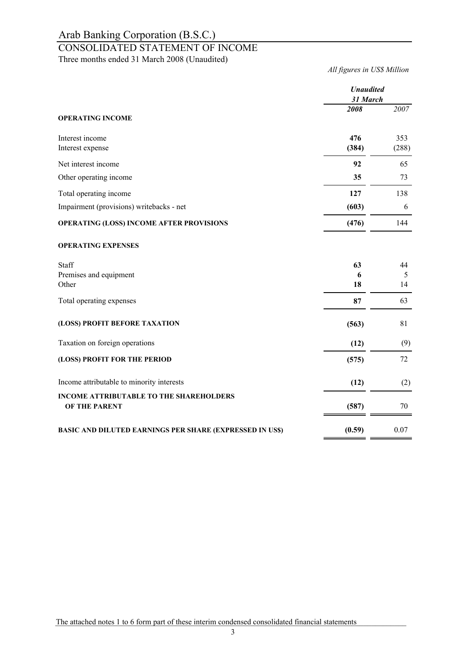### CONSOLIDATED STATEMENT OF INCOME

Three months ended 31 March 2008 (Unaudited)

*All figures in US\$ Million*

|                                                                 | <b>Unaudited</b><br>31 March |               |
|-----------------------------------------------------------------|------------------------------|---------------|
| <b>OPERATING INCOME</b>                                         | 2008                         | 2007          |
| Interest income<br>Interest expense                             | 476<br>(384)                 | 353<br>(288)  |
| Net interest income                                             | 92                           | 65            |
| Other operating income                                          | 35                           | 73            |
| Total operating income                                          | 127                          | 138           |
| Impairment (provisions) writebacks - net                        | (603)                        | 6             |
| <b>OPERATING (LOSS) INCOME AFTER PROVISIONS</b>                 | (476)                        | 144           |
| <b>OPERATING EXPENSES</b>                                       |                              |               |
| Staff<br>Premises and equipment<br>Other                        | 63<br>6<br>18                | 44<br>5<br>14 |
| Total operating expenses                                        | 87                           | 63            |
| (LOSS) PROFIT BEFORE TAXATION                                   | (563)                        | 81            |
| Taxation on foreign operations                                  | (12)                         | (9)           |
| (LOSS) PROFIT FOR THE PERIOD                                    | (575)                        | 72            |
| Income attributable to minority interests                       | (12)                         | (2)           |
| <b>INCOME ATTRIBUTABLE TO THE SHAREHOLDERS</b><br>OF THE PARENT | (587)                        | 70            |
| <b>BASIC AND DILUTED EARNINGS PER SHARE (EXPRESSED IN US\$)</b> | (0.59)                       | 0.07          |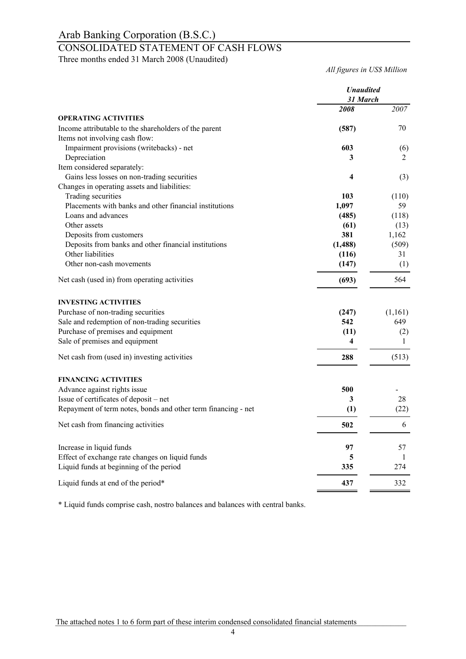## CONSOLIDATED STATEMENT OF CASH FLOWS

Three months ended 31 March 2008 (Unaudited)

*All figures in US\$ Million*

|                                                               | <b>Unaudited</b><br>31 March |         |
|---------------------------------------------------------------|------------------------------|---------|
|                                                               | 2008                         | 2007    |
| <b>OPERATING ACTIVITIES</b>                                   |                              |         |
| Income attributable to the shareholders of the parent         | (587)                        | 70      |
| Items not involving cash flow:                                |                              |         |
| Impairment provisions (writebacks) - net                      | 603                          | (6)     |
| Depreciation                                                  | 3                            | 2       |
| Item considered separately:                                   |                              |         |
| Gains less losses on non-trading securities                   | 4                            | (3)     |
| Changes in operating assets and liabilities:                  |                              |         |
| Trading securities                                            | 103                          | (110)   |
| Placements with banks and other financial institutions        | 1,097                        | 59      |
| Loans and advances                                            | (485)                        | (118)   |
| Other assets                                                  | (61)                         | (13)    |
| Deposits from customers                                       | 381                          | 1,162   |
| Deposits from banks and other financial institutions          | (1, 488)                     | (509)   |
| Other liabilities                                             | (116)                        | 31      |
| Other non-cash movements                                      | (147)                        | (1)     |
| Net cash (used in) from operating activities                  | (693)                        | 564     |
| <b>INVESTING ACTIVITIES</b>                                   |                              |         |
| Purchase of non-trading securities                            | (247)                        | (1,161) |
| Sale and redemption of non-trading securities                 | 542                          | 649     |
| Purchase of premises and equipment                            | (11)                         | (2)     |
| Sale of premises and equipment                                | 4                            | 1       |
| Net cash from (used in) investing activities                  | 288                          | (513)   |
| <b>FINANCING ACTIVITIES</b>                                   |                              |         |
| Advance against rights issue                                  | 500                          |         |
| Issue of certificates of deposit - net                        | 3                            | 28      |
| Repayment of term notes, bonds and other term financing - net | (1)                          | (22)    |
|                                                               |                              |         |
| Net cash from financing activities                            | 502                          | 6       |
| Increase in liquid funds                                      | 97                           | 57      |
| Effect of exchange rate changes on liquid funds               | 5                            | 1       |
| Liquid funds at beginning of the period                       | 335                          | 274     |
| Liquid funds at end of the period*                            | 437                          | 332     |

\* Liquid funds comprise cash, nostro balances and balances with central banks.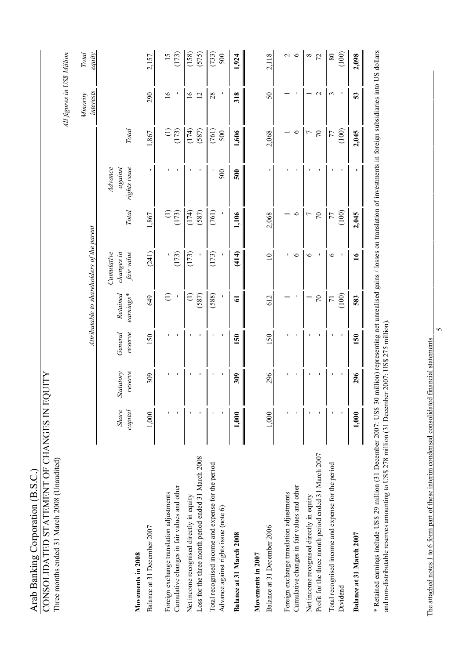| Three months ended 31 March 2008 (Unaudited)                                                      |                         |                      |                    |                         |                                            |                                               |                                    |                              | All figures in US\$ Million      |                   |
|---------------------------------------------------------------------------------------------------|-------------------------|----------------------|--------------------|-------------------------|--------------------------------------------|-----------------------------------------------|------------------------------------|------------------------------|----------------------------------|-------------------|
|                                                                                                   |                         |                      |                    |                         | Attributable to shareholders of the parent |                                               |                                    |                              | interests<br>Minority            | Total<br>equity   |
| Movements in 2008                                                                                 | <b>Share</b><br>capital | Statutory<br>reserve | General<br>reserve | Retained<br>earnings*   | Cumulative<br>fair value<br>changes in     | <b>Total</b>                                  | Advance<br>against<br>rights issue | Total                        |                                  |                   |
| Balance at 31 December 2007                                                                       | 1,000                   | 309                  | 150                | 649                     | (241)                                      | 1,867                                         |                                    | 1,867                        | 290                              | 2,157             |
| Cumulative changes in fair values and other<br>Foreign exchange translation adjustments           |                         |                      |                    | Ξ                       | (173)                                      | $\begin{array}{c} (1,2) \\ (1,2) \end{array}$ |                                    | E<br>(173)                   | $\overline{16}$                  | (173)             |
| Loss for the three month period ended 31 March 2008<br>Net income recognised directly in equity   |                         |                      |                    | (587)<br>Ξ              | (173)                                      | (174)<br>(587)                                |                                    | (174)<br>(587)               | $\overline{6}$<br>$\overline{c}$ | (158)<br>(575)    |
| Total recognised income and expense for the period<br>Advance against rights issue (note 6)       |                         | I.<br>п              |                    | (588)                   | (173)                                      | (761)                                         | 500                                | (761)<br>500                 | 28                               | (733)<br>500      |
| Balance at 31 March 2008                                                                          | 1,000                   | 309                  | 150                | 5                       | (414)                                      | 1,106                                         | 500                                | 1,606                        | 318                              | 1,924             |
| Balance at 31 December 2006<br>Movements in 2007                                                  | 1.000                   | 296                  | 150                | 612                     | $\overline{10}$                            | 2,068                                         |                                    | 2,068                        | $50\,$                           | 2.118             |
| Cumulative changes in fair values and other<br>Foreign exchange translation adjustments           |                         |                      |                    |                         | ٠<br>$\circ$                               | $\circ$                                       |                                    | $\circ$                      |                                  | $\sim$ $\sim$     |
| Profit for the three month period ended 31 March 2007<br>Net income recognised directly in equity |                         |                      |                    | $\sqrt{2}$              | ७                                          | $\sqrt{2}$<br>$\overline{C}$                  |                                    | $\sqrt{2}$<br>$\overline{ }$ | $\mathbf{\sim}$                  | $\frac{8}{7}$     |
| Total recognised income and expense for the period<br>Dividend                                    |                         | Ţ<br>п               | Ţ                  | (100)<br>$\overline{7}$ | ७                                          | (100)<br>77                                   |                                    | (100)<br>77                  | 3                                | (100)<br>$\rm 80$ |
| Balance at 31 March 2007                                                                          | 1,000                   | 296                  | 150                | 583                     | $\frac{6}{1}$                              | 2,045                                         |                                    | 2,045                        | 53                               | 2,098             |
|                                                                                                   |                         |                      |                    |                         |                                            |                                               |                                    |                              |                                  |                   |

CONSOLIDATED STATEMENT OF CHANGES IN EQUITY

Arab Banking Corporation (B.S.C.)<br>CONSOLIDATED STATEMENT OF CHANGES IN EQUITY

\* Retained earnings include US\$ 29 million (31 December 2007: US\$ 30 million) representing net unrealised gains / losses on translation of investments in foreign subsidiaries into US dollars \* Retained earnings include US\$ 29 million (31 December 2007: US\$ 30 million) representing net unrealised gains / losses on translation of investments in foreign subsidiaries into US dollars and non-distributable reserves amounting to US\$ 278 million (31 December 2007: US\$ 275 million). and non-distributable reserves amounting to US\$ 278 million (31 December 2007: US\$ 275 million).

The attached notes 1 to 6 form part of these interim condensed consolidated financial statements The attached notes 1 to 6 form part of these interim condensed consolidated financial statements

 $\mathcal{L}$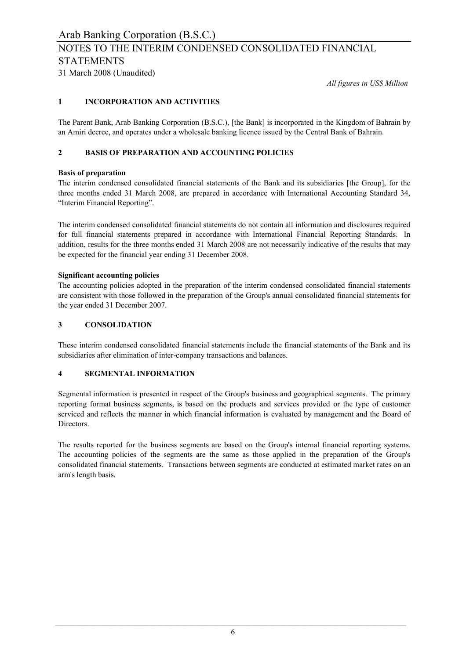## NOTES TO THE INTERIM CONDENSED CONSOLIDATED FINANCIAL STATEMENTS

31 March 2008 (Unaudited)

*All figures in US\$ Million*

### **1 INCORPORATION AND ACTIVITIES**

The Parent Bank, Arab Banking Corporation (B.S.C.), [the Bank] is incorporated in the Kingdom of Bahrain by an Amiri decree, and operates under a wholesale banking licence issued by the Central Bank of Bahrain.

### **2 BASIS OF PREPARATION AND ACCOUNTING POLICIES**

#### **Basis of preparation**

The interim condensed consolidated financial statements of the Bank and its subsidiaries [the Group], for the three months ended 31 March 2008, are prepared in accordance with International Accounting Standard 34, "Interim Financial Reporting".

The interim condensed consolidated financial statements do not contain all information and disclosures required for full financial statements prepared in accordance with International Financial Reporting Standards. In addition, results for the three months ended 31 March 2008 are not necessarily indicative of the results that may be expected for the financial year ending 31 December 2008.

#### **Significant accounting policies**

The accounting policies adopted in the preparation of the interim condensed consolidated financial statements are consistent with those followed in the preparation of the Group's annual consolidated financial statements for the year ended 31 December 2007.

### **3 CONSOLIDATION**

These interim condensed consolidated financial statements include the financial statements of the Bank and its subsidiaries after elimination of inter-company transactions and balances.

#### **4 SEGMENTAL INFORMATION**

Segmental information is presented in respect of the Group's business and geographical segments. The primary reporting format business segments, is based on the products and services provided or the type of customer serviced and reflects the manner in which financial information is evaluated by management and the Board of Directors.

The results reported for the business segments are based on the Group's internal financial reporting systems. The accounting policies of the segments are the same as those applied in the preparation of the Group's consolidated financial statements. Transactions between segments are conducted at estimated market rates on an arm's length basis.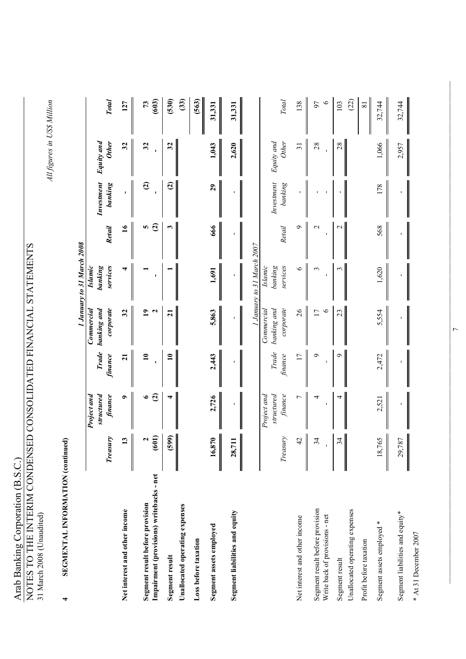| Arab Banking Corporation (B.S.C.)<br>NOTES TO THE INTERIM CONDENSED CONSOLIDATED FINANCIAL STATEMENTS |                             |                                      |                         |                                        |                                       |                 |                        |                             |                         |
|-------------------------------------------------------------------------------------------------------|-----------------------------|--------------------------------------|-------------------------|----------------------------------------|---------------------------------------|-----------------|------------------------|-----------------------------|-------------------------|
| 31 March 2008 (Unaudited)                                                                             |                             |                                      |                         |                                        |                                       |                 |                        |                             |                         |
| SEGMENTAL INFORMATION (continued)<br>4                                                                |                             |                                      |                         |                                        |                                       |                 |                        | All figures in US\$ Million |                         |
|                                                                                                       |                             |                                      |                         |                                        | 1 January to 31 March 2008            |                 |                        |                             |                         |
|                                                                                                       | Treasury                    | Project and<br>structured<br>finance | <b>Trade</b><br>finance | banking and<br>corporate<br>Commercial | services<br><b>Islamic</b><br>banking | Retail          | Investment<br>banking  | Equity and<br><b>Other</b>  | <b>Total</b>            |
| Net interest and other income                                                                         | 13<br>║                     | $\bullet$                            | $\overline{z}$          | 32                                     |                                       | $\overline{16}$ |                        | 32                          | 127                     |
| Impairment (provisions) writebacks - net<br>Segment result before provision                           | (100)<br>2                  | $\mathfrak{S}$<br>$\bullet$          | $\mathbf{u}$            | $\mathbf{a}$<br>$\mathbf{\tilde{z}}$   |                                       | ທ $\widehat{c}$ | $\widehat{\mathbf{c}}$ | 32                          | (603)<br>$\mathfrak{L}$ |
| Segment result                                                                                        | (599)                       |                                      | $\mathbf{10}$           | $\overline{21}$                        |                                       | 3               | $\mathbf{G}$           | 32                          | (530)                   |
| Unallocated operating expenses                                                                        |                             |                                      |                         |                                        |                                       |                 |                        |                             | (33)                    |
| Loss before taxation                                                                                  |                             |                                      |                         |                                        |                                       |                 |                        |                             | (563)                   |
| Segment assets employed                                                                               | 16,870                      | 2,726                                | 2,443                   | 5,863                                  | 1,691                                 | 666             | 29                     | 1,043                       | 31,331                  |
| Segment liabilities and equity                                                                        | 711<br>28,                  |                                      |                         |                                        |                                       |                 |                        | 2,620                       | 31,331                  |
|                                                                                                       |                             |                                      |                         |                                        | 1 January to 31 March 2007            |                 |                        |                             |                         |
|                                                                                                       | Treasury                    | finance<br>Project and<br>structured | Trade<br>finance        | corporate<br>Commercial<br>banking and | services<br><b>Islamic</b><br>banking | Retail          | Investment<br>banking  | Equity and<br>Other         | <b>Total</b>            |
| Net interest and other income                                                                         | 42                          | $\overline{ }$                       | $\overline{17}$         | 26                                     | $\circ$                               | $\circ$         |                        | $\overline{31}$             | 138                     |
| Segment result before provision<br>Write back of provisions - net                                     | 34                          | 4                                    | ç                       | $\circ$<br>17                          | 3                                     | $\mathbf 2$     |                        | 28                          | $\bullet$<br>57         |
| Unallocated operating expenses<br>Segment result                                                      | 34                          | 4                                    | ᡋ                       | 23                                     |                                       | $\sim$          |                        | 28                          | (22)<br>103             |
| Profit before taxation                                                                                |                             |                                      |                         |                                        |                                       |                 |                        |                             | $\bf 81$                |
| ∗<br>Segment assets employed                                                                          | 765<br>$\overline{18}$<br>I | 2,521                                | 2,472                   | 5,554                                  | 1,620                                 | 568             | 178                    | 1,066                       | 32,744                  |
| Segment liabilities and equity*                                                                       | 787<br>29,                  |                                      |                         |                                        |                                       |                 |                        | 2,957                       | 32,744                  |
| * At 31 December 2007                                                                                 |                             |                                      |                         |                                        |                                       |                 |                        |                             |                         |

 $\overline{7}$